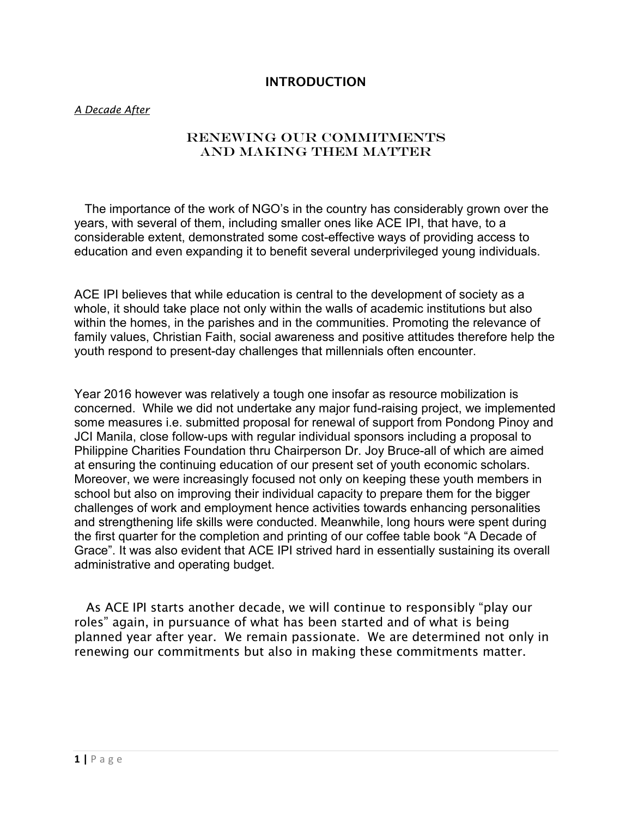## INTRODUCTION

### *A Decade After*

## RENEWING OUR COMMITMENTS And MAKING THEM MATTER

 The importance of the work of NGO's in the country has considerably grown over the years, with several of them, including smaller ones like ACE IPI, that have, to a considerable extent, demonstrated some cost-effective ways of providing access to education and even expanding it to benefit several underprivileged young individuals.

ACE IPI believes that while education is central to the development of society as a whole, it should take place not only within the walls of academic institutions but also within the homes, in the parishes and in the communities. Promoting the relevance of family values, Christian Faith, social awareness and positive attitudes therefore help the youth respond to present-day challenges that millennials often encounter.

Year 2016 however was relatively a tough one insofar as resource mobilization is concerned. While we did not undertake any major fund-raising project, we implemented some measures i.e. submitted proposal for renewal of support from Pondong Pinoy and JCI Manila, close follow-ups with regular individual sponsors including a proposal to Philippine Charities Foundation thru Chairperson Dr. Joy Bruce-all of which are aimed at ensuring the continuing education of our present set of youth economic scholars. Moreover, we were increasingly focused not only on keeping these youth members in school but also on improving their individual capacity to prepare them for the bigger challenges of work and employment hence activities towards enhancing personalities and strengthening life skills were conducted. Meanwhile, long hours were spent during the first quarter for the completion and printing of our coffee table book "A Decade of Grace". It was also evident that ACE IPI strived hard in essentially sustaining its overall administrative and operating budget.

 As ACE IPI starts another decade, we will continue to responsibly "play our roles" again, in pursuance of what has been started and of what is being planned year after year. We remain passionate. We are determined not only in renewing our commitments but also in making these commitments matter.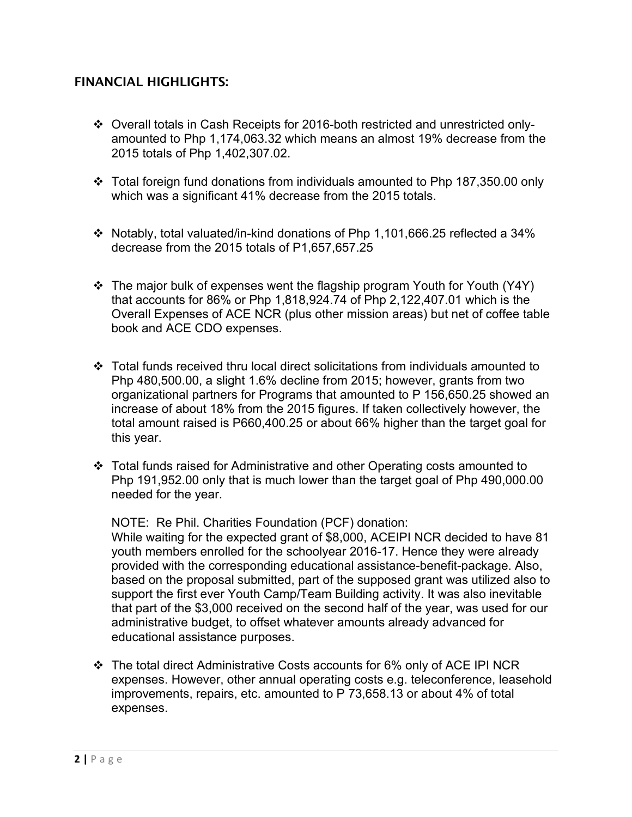# FINANCIAL HIGHLIGHTS:

- Overall totals in Cash Receipts for 2016-both restricted and unrestricted onlyamounted to Php 1,174,063.32 which means an almost 19% decrease from the 2015 totals of Php 1,402,307.02.
- Total foreign fund donations from individuals amounted to Php 187,350.00 only which was a significant 41% decrease from the 2015 totals.
- Notably, total valuated/in-kind donations of Php 1,101,666.25 reflected a 34% decrease from the 2015 totals of P1,657,657.25
- $\div$  The major bulk of expenses went the flagship program Youth for Youth (Y4Y) that accounts for 86% or Php 1,818,924.74 of Php 2,122,407.01 which is the Overall Expenses of ACE NCR (plus other mission areas) but net of coffee table book and ACE CDO expenses.
- Total funds received thru local direct solicitations from individuals amounted to Php 480,500.00, a slight 1.6% decline from 2015; however, grants from two organizational partners for Programs that amounted to P 156,650.25 showed an increase of about 18% from the 2015 figures. If taken collectively however, the total amount raised is P660,400.25 or about 66% higher than the target goal for this year.
- Total funds raised for Administrative and other Operating costs amounted to Php 191,952.00 only that is much lower than the target goal of Php 490,000.00 needed for the year.

NOTE: Re Phil. Charities Foundation (PCF) donation:

While waiting for the expected grant of \$8,000, ACEIPI NCR decided to have 81 youth members enrolled for the schoolyear 2016-17. Hence they were already provided with the corresponding educational assistance-benefit-package. Also, based on the proposal submitted, part of the supposed grant was utilized also to support the first ever Youth Camp/Team Building activity. It was also inevitable that part of the \$3,000 received on the second half of the year, was used for our administrative budget, to offset whatever amounts already advanced for educational assistance purposes.

 $\div$  The total direct Administrative Costs accounts for 6% only of ACE IPI NCR expenses. However, other annual operating costs e.g. teleconference, leasehold improvements, repairs, etc. amounted to P 73,658.13 or about 4% of total expenses.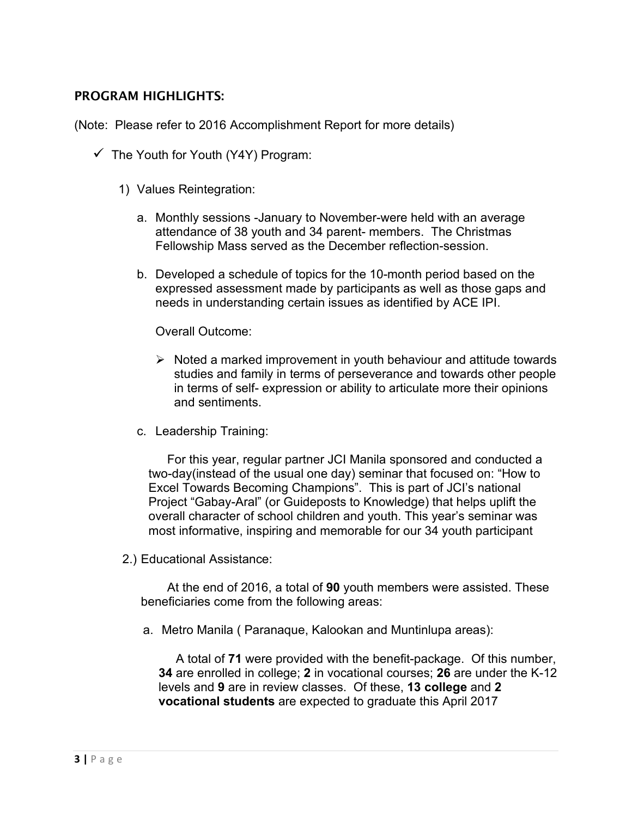## PROGRAM HIGHLIGHTS:

(Note: Please refer to 2016 Accomplishment Report for more details)

- $\checkmark$  The Youth for Youth (Y4Y) Program:
	- 1) Values Reintegration:
		- a. Monthly sessions -January to November-were held with an average attendance of 38 youth and 34 parent- members. The Christmas Fellowship Mass served as the December reflection-session.
		- b. Developed a schedule of topics for the 10-month period based on the expressed assessment made by participants as well as those gaps and needs in understanding certain issues as identified by ACE IPI.

### Overall Outcome:

- $\triangleright$  Noted a marked improvement in youth behaviour and attitude towards studies and family in terms of perseverance and towards other people in terms of self- expression or ability to articulate more their opinions and sentiments.
- c. Leadership Training:

For this year, regular partner JCI Manila sponsored and conducted a two-day(instead of the usual one day) seminar that focused on: "How to Excel Towards Becoming Champions". This is part of JCI's national Project "Gabay-Aral" (or Guideposts to Knowledge) that helps uplift the overall character of school children and youth. This year's seminar was most informative, inspiring and memorable for our 34 youth participant

2.) Educational Assistance:

At the end of 2016, a total of **90** youth members were assisted. These beneficiaries come from the following areas:

a. Metro Manila ( Paranaque, Kalookan and Muntinlupa areas):

 A total of **71** were provided with the benefit-package. Of this number, **34** are enrolled in college; **2** in vocational courses; **26** are under the K-12 levels and **9** are in review classes. Of these, **13 college** and **2 vocational students** are expected to graduate this April 2017